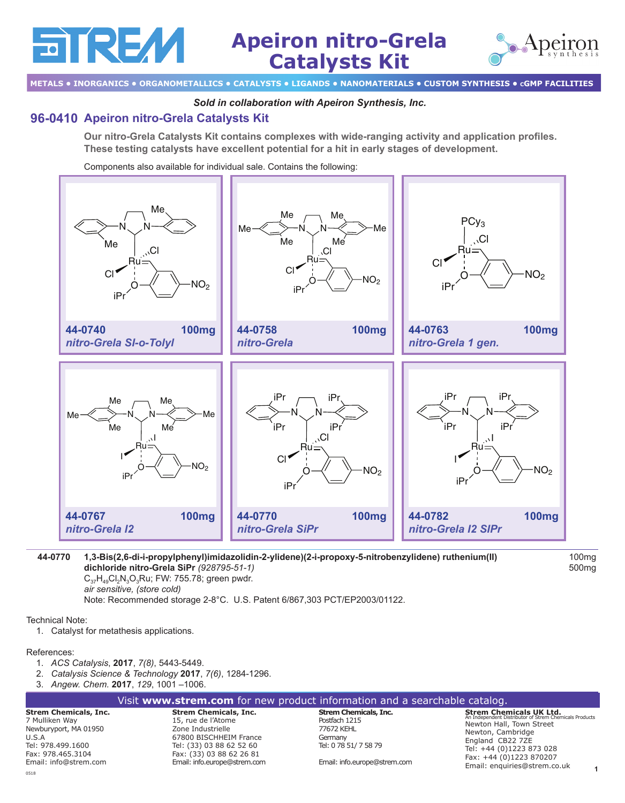

**METALS • INORGANICS • ORGANOMETALLICS • CATALYSTS • LIGANDS • NANOMATERIALS • CUSTOM SYNTHESIS • cGMP FACILITIES**

### *Sold in collaboration with Apeiron Synthesis, Inc.*

# **[96-0410](http://www.strem.com/catalog/v/96-0410/) Apeiron nitro-Grela Catalysts Kit**

are Z

**Our nitro-Grela Catalysts Kit contains complexes with wide-ranging activity and application profiles. These testing catalysts have excellent potential for a hit in early stages of development.** 

Components also available for individual sale. Contains the following:



## **[44-0770](http://www.strem.com/catalog/v/44-0770/)**44-0770 **1,3-Bis(2,6-di-i-propylphenyl)imidazolidin-2-ylidene)(2-i-propoxy-5-nitrobenzylidene) ruthenium(II) dichloride nitro-Grela SiPr** *(928795‑51‑1)*

 $C_{37}H_{49}Cl_2N_3O_3Ru$ ; FW: 755.78; green pwdr. *air sensitive, (store cold)*

Note: Recommended storage 2-8°C. U.S. Patent 6/867,303 PCT/EP2003/01122.

Technical Note:

1. Catalyst for metathesis applications.

### References:

- 1. *ACS Catalysis*, **2017**, *7(8)*, 5443-5449.
- 2. *Catalysis Science & Technology* **2017**, *7(6)*, 1284-1296.
- 3. *Angew. Chem.* **2017**, *129*, 1001 –1006.

|            | Visit www.strem.com for new product information and a searchable catalog. |                       |                           |
|------------|---------------------------------------------------------------------------|-----------------------|---------------------------|
| cals, Inc. | <b>Strem Chemicals, Inc.</b>                                              | Strem Chemicals, Inc. | <b>Strem Chemicals UK</b> |

**Strem Chemid** 7 Mulliken Way Newburyport, MA 01950  $II S A$ Tel: 978.499.1600 Fax: 978.465.3104 Email: info@strem.com 0518

15, rue de l'Atome Zone Industrielle 67800 BISCHHEIM France Tel: (33) 03 88 62 52 60 Fax: (33) 03 88 62 26 81 Email: info.europe@strem.com

Postfach 1215 77672 KEHL Germany Tel: 0 78 51/ 7 58 79

Email: info.europe@strem.com

**1 Strem Chemicals UK Ltd.** An Independent Distributor of Strem Chemicals Products Newton Hall, Town Street Newton, Cambridge England CB22 7ZE Tel: +44 (0)1223 873 028 Fax: +44 (0)1223 870207 Email: enquiries@strem.co.uk

100mg 500mg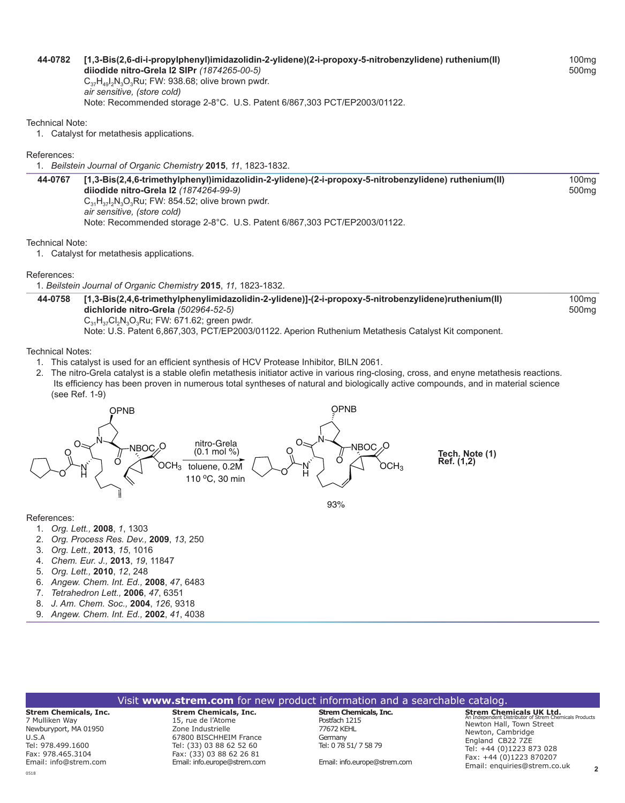#### **[44-0782](http://www.strem.com/catalog/v/44-0782/)**44-0782 **[1,3-Bis(2,6-di-i-propylphenyl)imidazolidin-2-ylidene)(2-i-propoxy-5-nitrobenzylidene) ruthenium(II) diiodide nitro-Grela I2 SIPr** *(1874265‑00‑5)*

 $C_{37}H_{49}I_2N_3O_3Ru$ ; FW: 938.68; olive brown pwdr. *air sensitive, (store cold)* Note: Recommended storage 2-8°C. U.S. Patent 6/867,303 PCT/EP2003/01122.

Technical Note:

1. Catalyst for metathesis applications.

#### References:

1. *Beilstein Journal of Organic Chemistry* **2015**, *11*, 1823-1832.

**[44-0767](http://www.strem.com/catalog/v/44-0767/)**44-0767 **[1,3-Bis(2,4,6-trimethylphenyl)imidazolidin-2-ylidene)-(2-i-propoxy-5-nitrobenzylidene) ruthenium(II) diiodide nitro-Grela I2** *(1874264‑99‑9)*  $C_{31}H_{37}I_2N_3O_3Ru$ ; FW: 854.52; olive brown pwdr. *air sensitive, (store cold)* Note: Recommended storage 2-8°C. U.S. Patent 6/867,303 PCT/EP2003/01122.

#### Technical Note:

1. Catalyst for metathesis applications.

#### References:

1. *Beilstein Journal of Organic Chemistry* **2015**, *11,* 1823-1832.

**[44-0758](http://www.strem.com/catalog/v/44-0758/)**44-0758 **[1,3-Bis(2,4,6-trimethylphenylimidazolidin-2-ylidene)]-(2-i-propoxy-5-nitrobenzylidene)ruthenium(II) dichloride nitro-Grela** *(502964‑52‑5)*  $C_{31}H_{37}Cl_2N_3O_3Ru$ ; FW: 671.62; green pwdr. Note: U.S. Patent 6,867,303, PCT/EP2003/01122. Aperion Ruthenium Metathesis Catalyst Kit component.

Technical Notes:

- 1. This catalyst is used for an efficient synthesis of HCV Protease Inhibitor, BILN 2061.
- 2. The nitro-Grela catalyst is a stable olefin metathesis initiator active in various ring-closing, cross, and enyne metathesis reactions. Its efficiency has been proven in numerous total syntheses of natural and biologically active compounds, and in material science (see Ref. 1-9)



#### References:

- 1. *Org. Lett.,* **2008**, *1*, 1303
- 2. *Org. Process Res. Dev.,* **2009**, *13*, 250
- 3. *Org. Lett.,* **2013**, *15*, 1016
- 4. *Chem. Eur. J.,* **2013**, *19*, 11847
- 5. *Org. Lett.,* **2010**, *12*, 248
- 6. *Angew. Chem. Int. Ed.,* **2008**, *47*, 6483
- 7. *Tetrahedron Lett.,* **2006**, *47*, 6351
- 8. *J. Am. Chem. Soc.,* **2004**, *126*, 9318
- 9. *Angew. Chem. Int. Ed.,* **2002**, *41*, 4038

| Visit www.strem.com for new product information and a searchable catalog. |  |  |  |
|---------------------------------------------------------------------------|--|--|--|
|                                                                           |  |  |  |

#### **Strem Chemicals, Inc.** 7 Mulliken Way Newburyport, MA 01950  $I.S.A$ Tel: 978.499.1600 Fax: 978.465.3104 Email: info@strem.com 0518

**Strem Chemicals, Inc.**  15, rue de l'Atome Zone Industrielle 67800 BISCHHEIM France Tel: (33) 03 88 62 52 60 Fax: (33) 03 88 62 26 81 Email: info.europe@strem.com

**Strem Chemicals, Inc.** Postfach 1215 77672 KEHL Germany Tel: 0 78 51/ 7 58 79

Email: info.europe@strem.com

**2 Strem Chemicals UK Ltd.** An Independent Distributor of Strem Chemicals Products Newton Hall, Town Street Newton, Cambridge England CB22 7ZE Tel: +44 (0)1223 873 028 Fax: +44 (0)1223 870207 Email: enquiries@strem.co.uk

**Tech. Note (1) Ref. (1,2)**

100mg 500mg

100mg

500mg

100mg 500mg